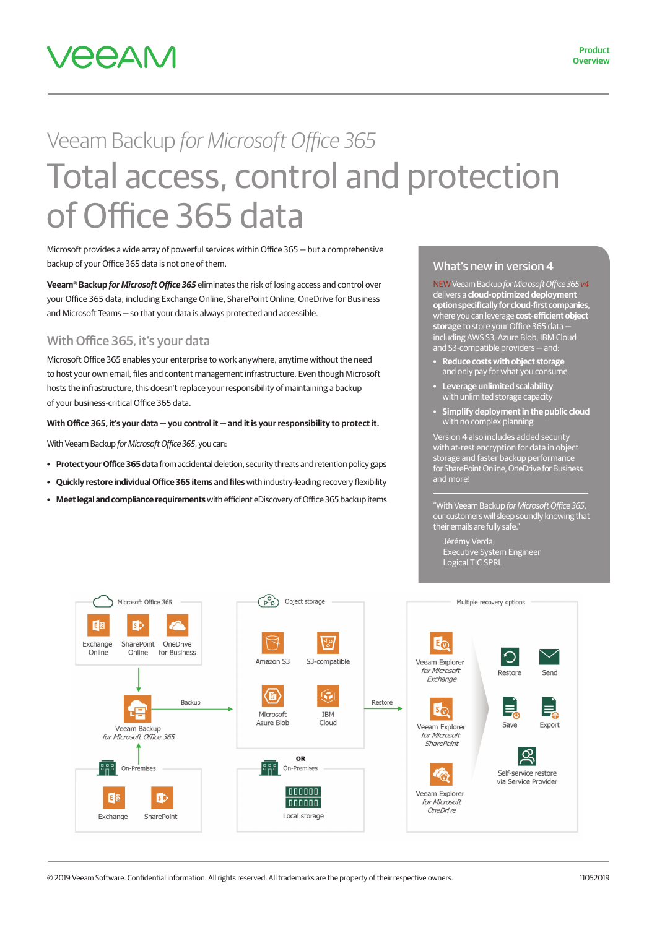

# Veeam Backup *for Microsoft Office 365* Total access, control and protection of Office 365 data

Microsoft provides a wide array of powerful services within Office 365 — but a comprehensive backup of your Office 365 data is not one of them.

**Veeam® Backup** *for Microsoft Office 365* eliminates the risk of losing access and control over your Office 365 data, including Exchange Online, SharePoint Online, OneDrive for Business and Microsoft Teams — so that your data is always protected and accessible.

## With Office 365, it's your data

Microsoft Office 365 enables your enterprise to work anywhere, anytime without the need to host your own email, files and content management infrastructure. Even though Microsoft hosts the infrastructure, this doesn't replace your responsibility of maintaining a backup of your business-critical Office 365 data.

#### **With Office 365, it's your data — you control it — and it is your responsibility to protect it.**

With Veeam Backup *for Microsoft Office 365*, you can:

- **• Protect your Office 365 data** from accidental deletion, security threats and retention policy gaps
- **• Quickly restore individual Office 365 items and files** with industry-leading recovery flexibility
- **• Meet legal and compliance requirements** with efficient eDiscovery of Office 365 backup items

#### What's new in version 4

NEW Veeam Backup *for Microsoft Office 365v4* delivers a **cloud-optimized deployment option specifically for cloud-first companies**, where you can leverage **cost-efficient object storage** to store your Office 365 data including AWS S3, Azure Blob, IBM Cloud and S3-compatible providers — and:

- **• Reduce costs with object storage** and only pay for what you consume
- **• Leverage unlimited scalability** with unlimited storage capacity
- **• Simplify deployment in the public cloud** with no complex planning

Version 4 also includes added security with at-rest encryption for data in object storage and faster backup performance for SharePoint Online, OneDrive for Business and more!

"With Veeam Backup *for Microsoft Office 365*, our customers will sleep soundly knowing that their emails are fully safe."

Jérémy Verda, Executive System Engineer Logical TIC SPRL